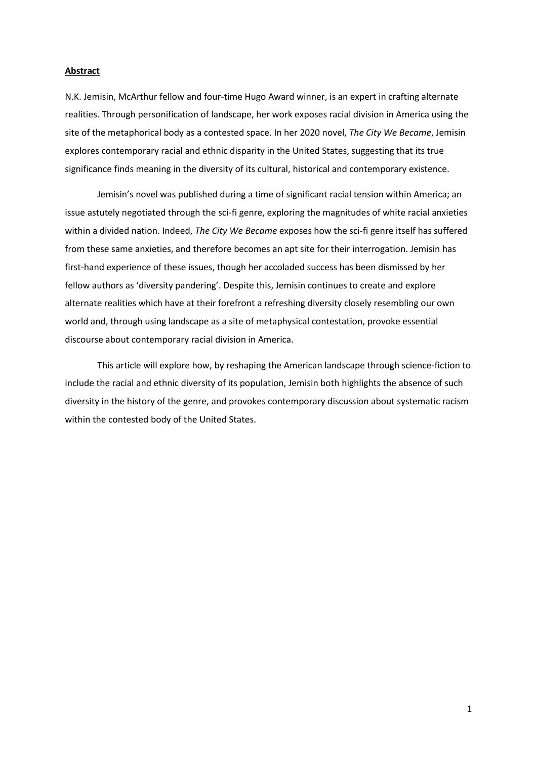## **Abstract**

N.K. Jemisin, McArthur fellow and four-time Hugo Award winner, is an expert in crafting alternate realities. Through personification of landscape, her work exposes racial division in America using the site of the metaphorical body as a contested space. In her 2020 novel, *The City We Became*, Jemisin explores contemporary racial and ethnic disparity in the United States, suggesting that its true significance finds meaning in the diversity of its cultural, historical and contemporary existence.

Jemisin's novel was published during a time of significant racial tension within America; an issue astutely negotiated through the sci-fi genre, exploring the magnitudes of white racial anxieties within a divided nation. Indeed, *The City We Became* exposes how the sci-fi genre itself has suffered from these same anxieties, and therefore becomes an apt site for their interrogation. Jemisin has first-hand experience of these issues, though her accoladed success has been dismissed by her fellow authors as 'diversity pandering'. Despite this, Jemisin continues to create and explore alternate realities which have at their forefront a refreshing diversity closely resembling our own world and, through using landscape as a site of metaphysical contestation, provoke essential discourse about contemporary racial division in America.

This article will explore how, by reshaping the American landscape through science-fiction to include the racial and ethnic diversity of its population, Jemisin both highlights the absence of such diversity in the history of the genre, and provokes contemporary discussion about systematic racism within the contested body of the United States.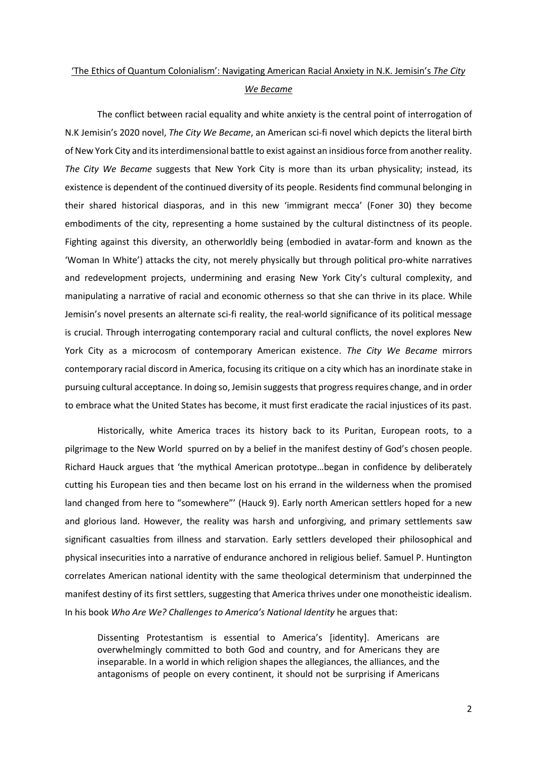## 'The Ethics of Quantum Colonialism': Navigating American Racial Anxiety in N.K. Jemisin's *The City We Became*

The conflict between racial equality and white anxiety is the central point of interrogation of N.K Jemisin's 2020 novel, *The City We Became*, an American sci-fi novel which depicts the literal birth of New York City and itsinterdimensional battle to exist against an insidious force from another reality. *The City We Became* suggests that New York City is more than its urban physicality; instead, its existence is dependent of the continued diversity of its people. Residents find communal belonging in their shared historical diasporas, and in this new 'immigrant mecca' (Foner 30) they become embodiments of the city, representing a home sustained by the cultural distinctness of its people. Fighting against this diversity, an otherworldly being (embodied in avatar-form and known as the 'Woman In White') attacks the city, not merely physically but through political pro-white narratives and redevelopment projects, undermining and erasing New York City's cultural complexity, and manipulating a narrative of racial and economic otherness so that she can thrive in its place. While Jemisin's novel presents an alternate sci-fi reality, the real-world significance of its political message is crucial. Through interrogating contemporary racial and cultural conflicts, the novel explores New York City as a microcosm of contemporary American existence. *The City We Became* mirrors contemporary racial discord in America, focusing its critique on a city which has an inordinate stake in pursuing cultural acceptance. In doing so, Jemisin suggeststhat progress requires change, and in order to embrace what the United States has become, it must first eradicate the racial injustices of its past.

Historically, white America traces its history back to its Puritan, European roots, to a pilgrimage to the New World spurred on by a belief in the manifest destiny of God's chosen people. Richard Hauck argues that 'the mythical American prototype…began in confidence by deliberately cutting his European ties and then became lost on his errand in the wilderness when the promised land changed from here to "somewhere"' (Hauck 9). Early north American settlers hoped for a new and glorious land. However, the reality was harsh and unforgiving, and primary settlements saw significant casualties from illness and starvation. Early settlers developed their philosophical and physical insecurities into a narrative of endurance anchored in religious belief. Samuel P. Huntington correlates American national identity with the same theological determinism that underpinned the manifest destiny of its first settlers, suggesting that America thrives under one monotheistic idealism. In his book *Who Are We? Challenges to America's National Identity* he argues that:

Dissenting Protestantism is essential to America's [identity]. Americans are overwhelmingly committed to both God and country, and for Americans they are inseparable. In a world in which religion shapes the allegiances, the alliances, and the antagonisms of people on every continent, it should not be surprising if Americans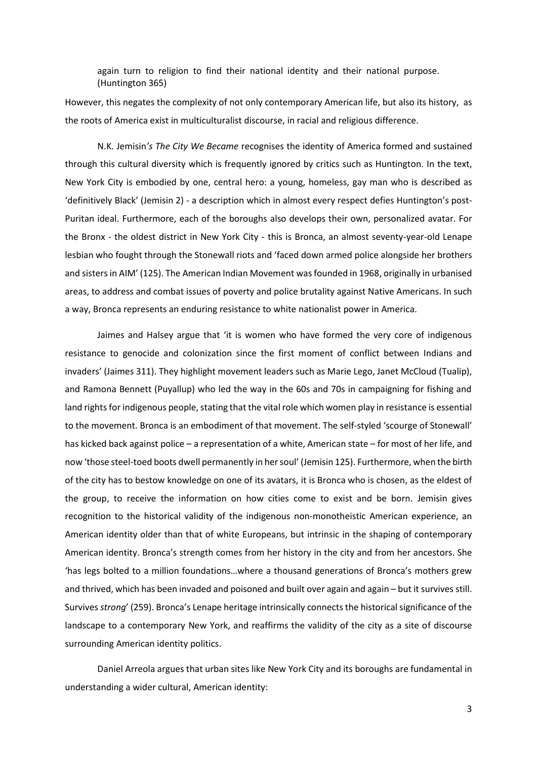again turn to religion to find their national identity and their national purpose. (Huntington 365)

However, this negates the complexity of not only contemporary American life, but also its history, as the roots of America exist in multiculturalist discourse, in racial and religious difference.

N.K. Jemisin*'s The City We Became* recognises the identity of America formed and sustained through this cultural diversity which is frequently ignored by critics such as Huntington. In the text, New York City is embodied by one, central hero: a young, homeless, gay man who is described as 'definitively Black' (Jemisin 2) - a description which in almost every respect defies Huntington's post-Puritan ideal. Furthermore, each of the boroughs also develops their own, personalized avatar. For the Bronx - the oldest district in New York City - this is Bronca, an almost seventy-year-old Lenape lesbian who fought through the Stonewall riots and 'faced down armed police alongside her brothers and sisters in AIM' (125). The American Indian Movement was founded in 1968, originally in urbanised areas, to address and combat issues of poverty and police brutality against Native Americans. In such a way, Bronca represents an enduring resistance to white nationalist power in America.

Jaimes and Halsey argue that 'it is women who have formed the very core of indigenous resistance to genocide and colonization since the first moment of conflict between Indians and invaders' (Jaimes 311). They highlight movement leaders such as Marie Lego, Janet McCloud (Tualip), and Ramona Bennett (Puyallup) who led the way in the 60s and 70s in campaigning for fishing and land rights for indigenous people, stating that the vital role which women play in resistance is essential to the movement. Bronca is an embodiment of that movement. The self-styled 'scourge of Stonewall' has kicked back against police – a representation of a white, American state – for most of her life, and now 'those steel-toed boots dwell permanently in her soul' (Jemisin 125). Furthermore, when the birth of the city has to bestow knowledge on one of its avatars, it is Bronca who is chosen, as the eldest of the group, to receive the information on how cities come to exist and be born. Jemisin gives recognition to the historical validity of the indigenous non-monotheistic American experience, an American identity older than that of white Europeans, but intrinsic in the shaping of contemporary American identity. Bronca's strength comes from her history in the city and from her ancestors. She 'has legs bolted to a million foundations…where a thousand generations of Bronca's mothers grew and thrived, which has been invaded and poisoned and built over again and again – but it survives still. Survives *strong*' (259). Bronca's Lenape heritage intrinsically connects the historical significance of the landscape to a contemporary New York, and reaffirms the validity of the city as a site of discourse surrounding American identity politics.

Daniel Arreola argues that urban sites like New York City and its boroughs are fundamental in understanding a wider cultural, American identity:

3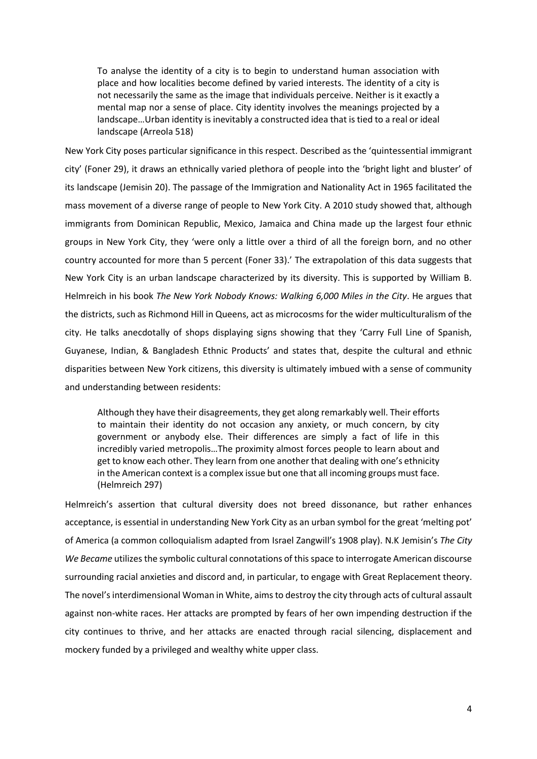To analyse the identity of a city is to begin to understand human association with place and how localities become defined by varied interests. The identity of a city is not necessarily the same as the image that individuals perceive. Neither is it exactly a mental map nor a sense of place. City identity involves the meanings projected by a landscape…Urban identity is inevitably a constructed idea that is tied to a real or ideal landscape (Arreola 518)

New York City poses particular significance in this respect. Described as the 'quintessential immigrant city' (Foner 29), it draws an ethnically varied plethora of people into the 'bright light and bluster' of its landscape (Jemisin 20). The passage of the Immigration and Nationality Act in 1965 facilitated the mass movement of a diverse range of people to New York City. A 2010 study showed that, although immigrants from Dominican Republic, Mexico, Jamaica and China made up the largest four ethnic groups in New York City, they 'were only a little over a third of all the foreign born, and no other country accounted for more than 5 percent (Foner 33).' The extrapolation of this data suggests that New York City is an urban landscape characterized by its diversity. This is supported by William B. Helmreich in his book *The New York Nobody Knows: Walking 6,000 Miles in the City*. He argues that the districts, such as Richmond Hill in Queens, act as microcosms for the wider multiculturalism of the city. He talks anecdotally of shops displaying signs showing that they 'Carry Full Line of Spanish, Guyanese, Indian, & Bangladesh Ethnic Products' and states that, despite the cultural and ethnic disparities between New York citizens, this diversity is ultimately imbued with a sense of community and understanding between residents:

Although they have their disagreements, they get along remarkably well. Their efforts to maintain their identity do not occasion any anxiety, or much concern, by city government or anybody else. Their differences are simply a fact of life in this incredibly varied metropolis…The proximity almost forces people to learn about and get to know each other. They learn from one another that dealing with one's ethnicity in the American context is a complex issue but one that all incoming groups must face. (Helmreich 297)

Helmreich's assertion that cultural diversity does not breed dissonance, but rather enhances acceptance, is essential in understanding New York City as an urban symbol for the great 'melting pot' of America (a common colloquialism adapted from Israel Zangwill's 1908 play). N.K Jemisin's *The City We Became* utilizes the symbolic cultural connotations of this space to interrogate American discourse surrounding racial anxieties and discord and, in particular, to engage with Great Replacement theory. The novel's interdimensional Woman in White, aims to destroy the city through acts of cultural assault against non-white races. Her attacks are prompted by fears of her own impending destruction if the city continues to thrive, and her attacks are enacted through racial silencing, displacement and mockery funded by a privileged and wealthy white upper class.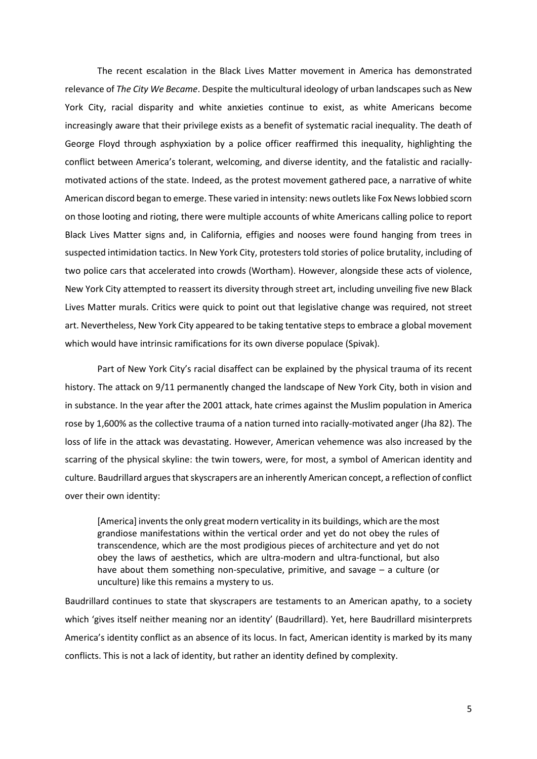The recent escalation in the Black Lives Matter movement in America has demonstrated relevance of *The City We Became*. Despite the multicultural ideology of urban landscapes such as New York City, racial disparity and white anxieties continue to exist, as white Americans become increasingly aware that their privilege exists as a benefit of systematic racial inequality. The death of George Floyd through asphyxiation by a police officer reaffirmed this inequality, highlighting the conflict between America's tolerant, welcoming, and diverse identity, and the fatalistic and raciallymotivated actions of the state. Indeed, as the protest movement gathered pace, a narrative of white American discord began to emerge. These varied in intensity: news outlets like Fox News lobbied scorn on those looting and rioting, there were multiple accounts of white Americans calling police to report Black Lives Matter signs and, in California, effigies and nooses were found hanging from trees in suspected intimidation tactics. In New York City, protesters told stories of police brutality, including of two police cars that accelerated into crowds (Wortham). However, alongside these acts of violence, New York City attempted to reassert its diversity through street art, including unveiling five new Black Lives Matter murals. Critics were quick to point out that legislative change was required, not street art. Nevertheless, New York City appeared to be taking tentative steps to embrace a global movement which would have intrinsic ramifications for its own diverse populace (Spivak).

Part of New York City's racial disaffect can be explained by the physical trauma of its recent history. The attack on 9/11 permanently changed the landscape of New York City, both in vision and in substance. In the year after the 2001 attack, hate crimes against the Muslim population in America rose by 1,600% as the collective trauma of a nation turned into racially-motivated anger (Jha 82). The loss of life in the attack was devastating. However, American vehemence was also increased by the scarring of the physical skyline: the twin towers, were, for most, a symbol of American identity and culture. Baudrillard argues that skyscrapers are an inherently American concept, a reflection of conflict over their own identity:

[America] invents the only great modern verticality in its buildings, which are the most grandiose manifestations within the vertical order and yet do not obey the rules of transcendence, which are the most prodigious pieces of architecture and yet do not obey the laws of aesthetics, which are ultra-modern and ultra-functional, but also have about them something non-speculative, primitive, and savage – a culture (or unculture) like this remains a mystery to us.

Baudrillard continues to state that skyscrapers are testaments to an American apathy, to a society which 'gives itself neither meaning nor an identity' (Baudrillard). Yet, here Baudrillard misinterprets America's identity conflict as an absence of its locus. In fact, American identity is marked by its many conflicts. This is not a lack of identity, but rather an identity defined by complexity.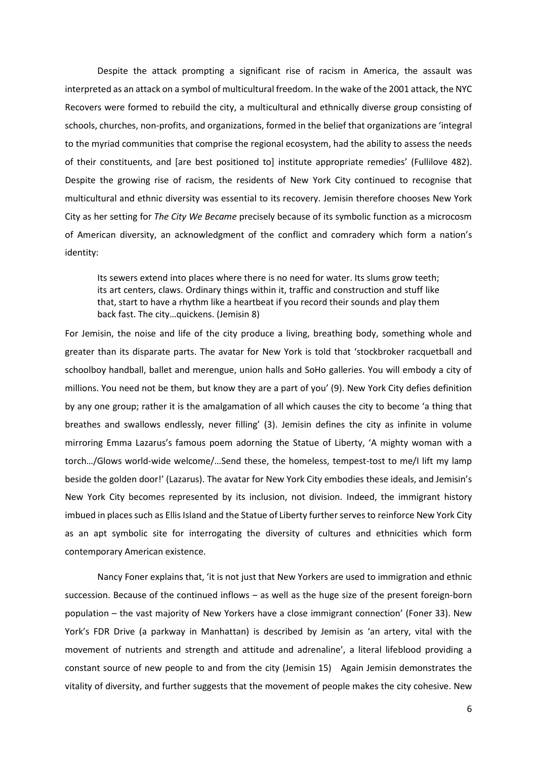Despite the attack prompting a significant rise of racism in America, the assault was interpreted as an attack on a symbol of multicultural freedom. In the wake of the 2001 attack, the NYC Recovers were formed to rebuild the city, a multicultural and ethnically diverse group consisting of schools, churches, non-profits, and organizations, formed in the belief that organizations are 'integral to the myriad communities that comprise the regional ecosystem, had the ability to assess the needs of their constituents, and [are best positioned to] institute appropriate remedies' (Fullilove 482). Despite the growing rise of racism, the residents of New York City continued to recognise that multicultural and ethnic diversity was essential to its recovery. Jemisin therefore chooses New York City as her setting for *The City We Became* precisely because of its symbolic function as a microcosm of American diversity, an acknowledgment of the conflict and comradery which form a nation's identity:

Its sewers extend into places where there is no need for water. Its slums grow teeth; its art centers, claws. Ordinary things within it, traffic and construction and stuff like that, start to have a rhythm like a heartbeat if you record their sounds and play them back fast. The city…quickens. (Jemisin 8)

For Jemisin, the noise and life of the city produce a living, breathing body, something whole and greater than its disparate parts. The avatar for New York is told that 'stockbroker racquetball and schoolboy handball, ballet and merengue, union halls and SoHo galleries. You will embody a city of millions. You need not be them, but know they are a part of you' (9). New York City defies definition by any one group; rather it is the amalgamation of all which causes the city to become 'a thing that breathes and swallows endlessly, never filling' (3). Jemisin defines the city as infinite in volume mirroring Emma Lazarus's famous poem adorning the Statue of Liberty, 'A mighty woman with a torch…/Glows world-wide welcome/…Send these, the homeless, tempest-tost to me/I lift my lamp beside the golden door!' (Lazarus). The avatar for New York City embodies these ideals, and Jemisin's New York City becomes represented by its inclusion, not division. Indeed, the immigrant history imbued in places such as Ellis Island and the Statue of Liberty further servesto reinforce New York City as an apt symbolic site for interrogating the diversity of cultures and ethnicities which form contemporary American existence.

Nancy Foner explains that, 'it is not just that New Yorkers are used to immigration and ethnic succession. Because of the continued inflows – as well as the huge size of the present foreign-born population – the vast majority of New Yorkers have a close immigrant connection' (Foner 33). New York's FDR Drive (a parkway in Manhattan) is described by Jemisin as 'an artery, vital with the movement of nutrients and strength and attitude and adrenaline', a literal lifeblood providing a constant source of new people to and from the city (Jemisin 15) Again Jemisin demonstrates the vitality of diversity, and further suggests that the movement of people makes the city cohesive. New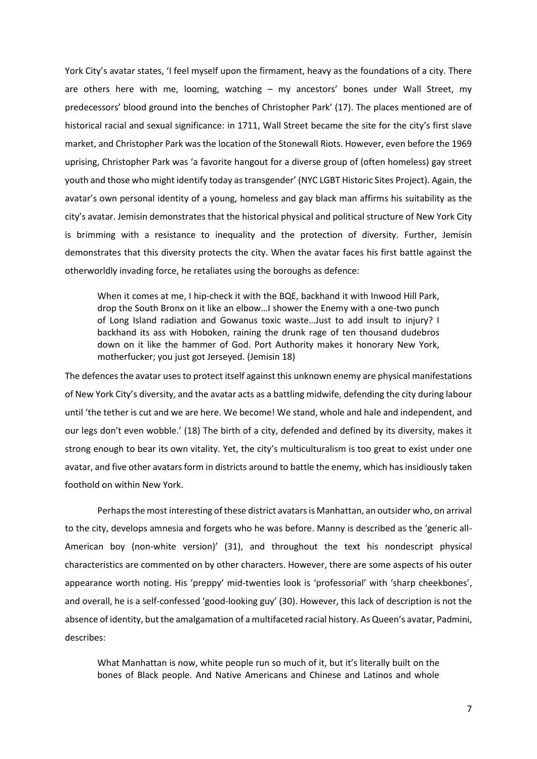York City's avatar states, 'I feel myself upon the firmament, heavy as the foundations of a city. There are others here with me, looming, watching – my ancestors' bones under Wall Street, my predecessors' blood ground into the benches of Christopher Park' (17). The places mentioned are of historical racial and sexual significance: in 1711, Wall Street became the site for the city's first slave market, and Christopher Park was the location of the Stonewall Riots. However, even before the 1969 uprising, Christopher Park was 'a favorite hangout for a diverse group of (often homeless) gay street youth and those who might identify today as transgender' (NYC LGBT Historic Sites Project). Again, the avatar's own personal identity of a young, homeless and gay black man affirms his suitability as the city's avatar. Jemisin demonstrates that the historical physical and political structure of New York City is brimming with a resistance to inequality and the protection of diversity. Further, Jemisin demonstrates that this diversity protects the city. When the avatar faces his first battle against the otherworldly invading force, he retaliates using the boroughs as defence:

When it comes at me, I hip-check it with the BQE, backhand it with Inwood Hill Park, drop the South Bronx on it like an elbow…I shower the Enemy with a one-two punch of Long Island radiation and Gowanus toxic waste…Just to add insult to injury? I backhand its ass with Hoboken, raining the drunk rage of ten thousand dudebros down on it like the hammer of God. Port Authority makes it honorary New York, motherfucker; you just got Jerseyed. (Jemisin 18)

The defences the avatar uses to protect itself against this unknown enemy are physical manifestations of New York City's diversity, and the avatar acts as a battling midwife, defending the city during labour until 'the tether is cut and we are here. We become! We stand, whole and hale and independent, and our legs don't even wobble.' (18) The birth of a city, defended and defined by its diversity, makes it strong enough to bear its own vitality. Yet, the city's multiculturalism is too great to exist under one avatar, and five other avatars form in districts around to battle the enemy, which has insidiously taken foothold on within New York.

Perhaps the most interesting of these district avatars is Manhattan, an outsider who, on arrival to the city, develops amnesia and forgets who he was before. Manny is described as the 'generic all-American boy (non-white version)' (31), and throughout the text his nondescript physical characteristics are commented on by other characters. However, there are some aspects of his outer appearance worth noting. His 'preppy' mid-twenties look is 'professorial' with 'sharp cheekbones', and overall, he is a self-confessed 'good-looking guy' (30). However, this lack of description is not the absence of identity, but the amalgamation of a multifaceted racial history. As Queen's avatar, Padmini, describes:

What Manhattan is now, white people run so much of it, but it's literally built on the bones of Black people. And Native Americans and Chinese and Latinos and whole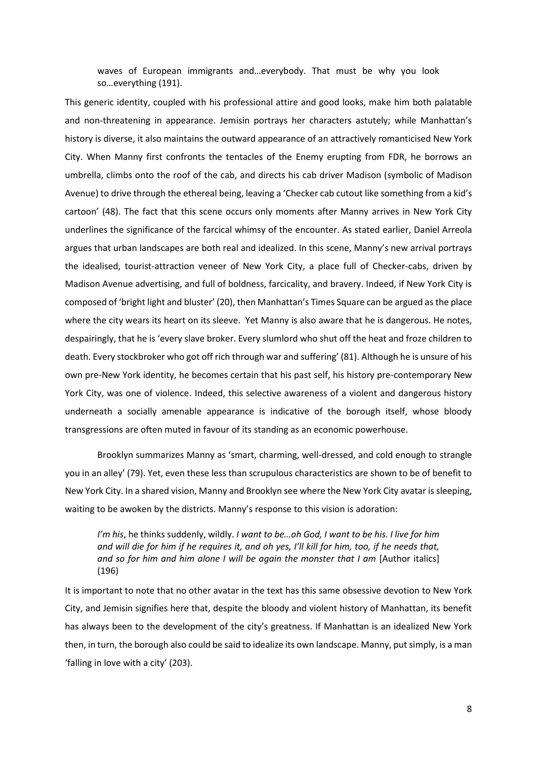waves of European immigrants and…everybody. That must be why you look so…everything (191).

This generic identity, coupled with his professional attire and good looks, make him both palatable and non-threatening in appearance. Jemisin portrays her characters astutely; while Manhattan's history is diverse, it also maintains the outward appearance of an attractively romanticised New York City. When Manny first confronts the tentacles of the Enemy erupting from FDR, he borrows an umbrella, climbs onto the roof of the cab, and directs his cab driver Madison (symbolic of Madison Avenue) to drive through the ethereal being, leaving a 'Checker cab cutout like something from a kid's cartoon' (48). The fact that this scene occurs only moments after Manny arrives in New York City underlines the significance of the farcical whimsy of the encounter. As stated earlier, Daniel Arreola argues that urban landscapes are both real and idealized. In this scene, Manny's new arrival portrays the idealised, tourist-attraction veneer of New York City, a place full of Checker-cabs, driven by Madison Avenue advertising, and full of boldness, farcicality, and bravery. Indeed, if New York City is composed of 'bright light and bluster' (20), then Manhattan's Times Square can be argued as the place where the city wears its heart on its sleeve. Yet Manny is also aware that he is dangerous. He notes, despairingly, that he is 'every slave broker. Every slumlord who shut off the heat and froze children to death. Every stockbroker who got off rich through war and suffering' (81). Although he is unsure of his own pre-New York identity, he becomes certain that his past self, his history pre-contemporary New York City, was one of violence. Indeed, this selective awareness of a violent and dangerous history underneath a socially amenable appearance is indicative of the borough itself, whose bloody transgressions are often muted in favour of its standing as an economic powerhouse.

Brooklyn summarizes Manny as 'smart, charming, well-dressed, and cold enough to strangle you in an alley' (79). Yet, even these less than scrupulous characteristics are shown to be of benefit to New York City. In a shared vision, Manny and Brooklyn see where the New York City avatar is sleeping, waiting to be awoken by the districts. Manny's response to this vision is adoration:

*I'm his*, he thinks suddenly, wildly. *I want to be…oh God, I want to be his. I live for him and will die for him if he requires it, and oh yes, I'll kill for him, too, if he needs that, and so for him and him alone I will be again the monster that I am* [Author italics] (196)

It is important to note that no other avatar in the text has this same obsessive devotion to New York City, and Jemisin signifies here that, despite the bloody and violent history of Manhattan, its benefit has always been to the development of the city's greatness. If Manhattan is an idealized New York then, in turn, the borough also could be said to idealize its own landscape. Manny, put simply, is a man 'falling in love with a city' (203).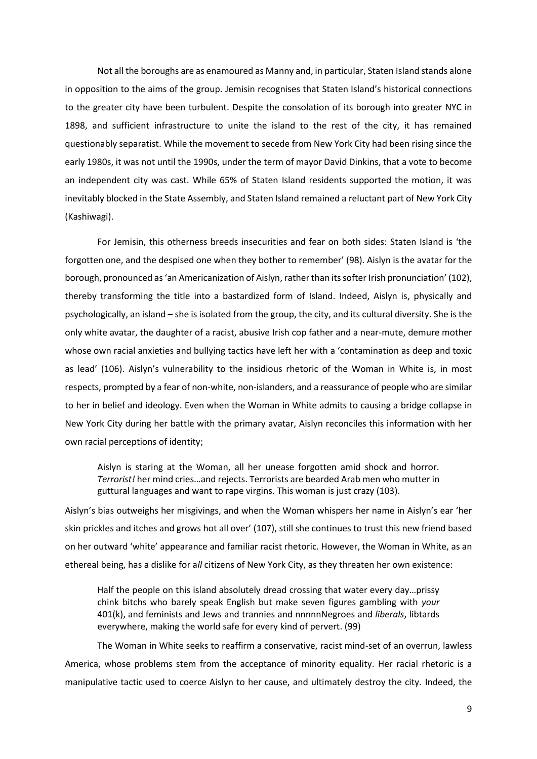Not all the boroughs are as enamoured as Manny and, in particular, Staten Island stands alone in opposition to the aims of the group. Jemisin recognises that Staten Island's historical connections to the greater city have been turbulent. Despite the consolation of its borough into greater NYC in 1898, and sufficient infrastructure to unite the island to the rest of the city, it has remained questionably separatist. While the movement to secede from New York City had been rising since the early 1980s, it was not until the 1990s, under the term of mayor David Dinkins, that a vote to become an independent city was cast. While 65% of Staten Island residents supported the motion, it was inevitably blocked in the State Assembly, and Staten Island remained a reluctant part of New York City (Kashiwagi).

For Jemisin, this otherness breeds insecurities and fear on both sides: Staten Island is 'the forgotten one, and the despised one when they bother to remember' (98). Aislyn is the avatar for the borough, pronounced as 'an Americanization of Aislyn, rather than its softer Irish pronunciation' (102), thereby transforming the title into a bastardized form of Island. Indeed, Aislyn is, physically and psychologically, an island – she is isolated from the group, the city, and its cultural diversity. She is the only white avatar, the daughter of a racist, abusive Irish cop father and a near-mute, demure mother whose own racial anxieties and bullying tactics have left her with a 'contamination as deep and toxic as lead' (106). Aislyn's vulnerability to the insidious rhetoric of the Woman in White is, in most respects, prompted by a fear of non-white, non-islanders, and a reassurance of people who are similar to her in belief and ideology. Even when the Woman in White admits to causing a bridge collapse in New York City during her battle with the primary avatar, Aislyn reconciles this information with her own racial perceptions of identity;

Aislyn is staring at the Woman, all her unease forgotten amid shock and horror. *Terrorist!* her mind cries…and rejects. Terrorists are bearded Arab men who mutter in guttural languages and want to rape virgins. This woman is just crazy (103).

Aislyn's bias outweighs her misgivings, and when the Woman whispers her name in Aislyn's ear 'her skin prickles and itches and grows hot all over' (107), still she continues to trust this new friend based on her outward 'white' appearance and familiar racist rhetoric. However, the Woman in White, as an ethereal being, has a dislike for a*ll* citizens of New York City, as they threaten her own existence:

Half the people on this island absolutely dread crossing that water every day…prissy chink bitchs who barely speak English but make seven figures gambling with *your* 401(k), and feminists and Jews and trannies and nnnnnNegroes and *liberals*, libtards everywhere, making the world safe for every kind of pervert. (99)

The Woman in White seeks to reaffirm a conservative, racist mind-set of an overrun, lawless America, whose problems stem from the acceptance of minority equality. Her racial rhetoric is a manipulative tactic used to coerce Aislyn to her cause, and ultimately destroy the city. Indeed, the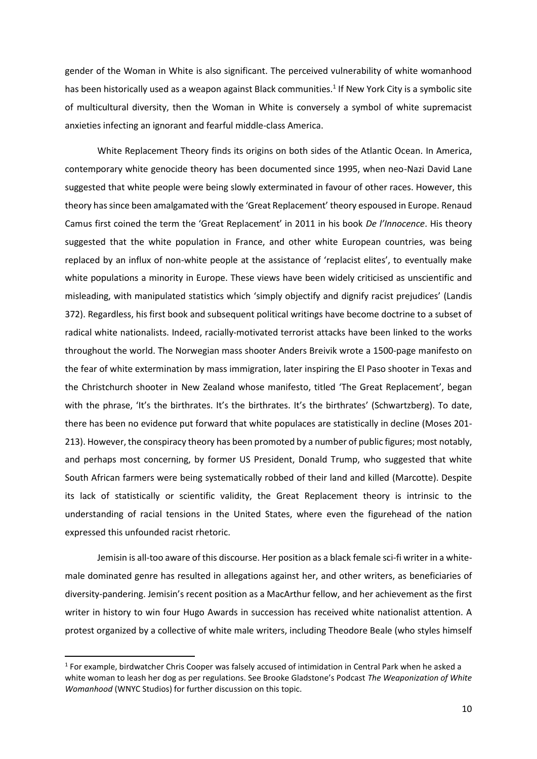gender of the Woman in White is also significant. The perceived vulnerability of white womanhood has been historically used as a weapon against Black communities.<sup>1</sup> If New York City is a symbolic site of multicultural diversity, then the Woman in White is conversely a symbol of white supremacist anxieties infecting an ignorant and fearful middle-class America.

White Replacement Theory finds its origins on both sides of the Atlantic Ocean. In America, contemporary white genocide theory has been documented since 1995, when neo-Nazi David Lane suggested that white people were being slowly exterminated in favour of other races. However, this theory has since been amalgamated with the 'Great Replacement' theory espoused in Europe. Renaud Camus first coined the term the 'Great Replacement' in 2011 in his book *De l'Innocence*. His theory suggested that the white population in France, and other white European countries, was being replaced by an influx of non-white people at the assistance of 'replacist elites', to eventually make white populations a minority in Europe. These views have been widely criticised as unscientific and misleading, with manipulated statistics which 'simply objectify and dignify racist prejudices' (Landis 372). Regardless, his first book and subsequent political writings have become doctrine to a subset of radical white nationalists. Indeed, racially-motivated terrorist attacks have been linked to the works throughout the world. The Norwegian mass shooter Anders Breivik wrote a 1500-page manifesto on the fear of white extermination by mass immigration, later inspiring the El Paso shooter in Texas and the Christchurch shooter in New Zealand whose manifesto, titled 'The Great Replacement', began with the phrase, 'It's the birthrates. It's the birthrates. It's the birthrates' (Schwartzberg). To date, there has been no evidence put forward that white populaces are statistically in decline (Moses 201- 213). However, the conspiracy theory has been promoted by a number of public figures; most notably, and perhaps most concerning, by former US President, Donald Trump, who suggested that white South African farmers were being systematically robbed of their land and killed (Marcotte). Despite its lack of statistically or scientific validity, the Great Replacement theory is intrinsic to the understanding of racial tensions in the United States, where even the figurehead of the nation expressed this unfounded racist rhetoric.

Jemisin is all-too aware of this discourse. Her position as a black female sci-fi writer in a whitemale dominated genre has resulted in allegations against her, and other writers, as beneficiaries of diversity-pandering. Jemisin's recent position as a MacArthur fellow, and her achievement as the first writer in history to win four Hugo Awards in succession has received white nationalist attention. A protest organized by a collective of white male writers, including Theodore Beale (who styles himself

<sup>&</sup>lt;sup>1</sup> For example, birdwatcher Chris Cooper was falsely accused of intimidation in Central Park when he asked a white woman to leash her dog as per regulations. See Brooke Gladstone's Podcast *The Weaponization of White Womanhood* (WNYC Studios) for further discussion on this topic.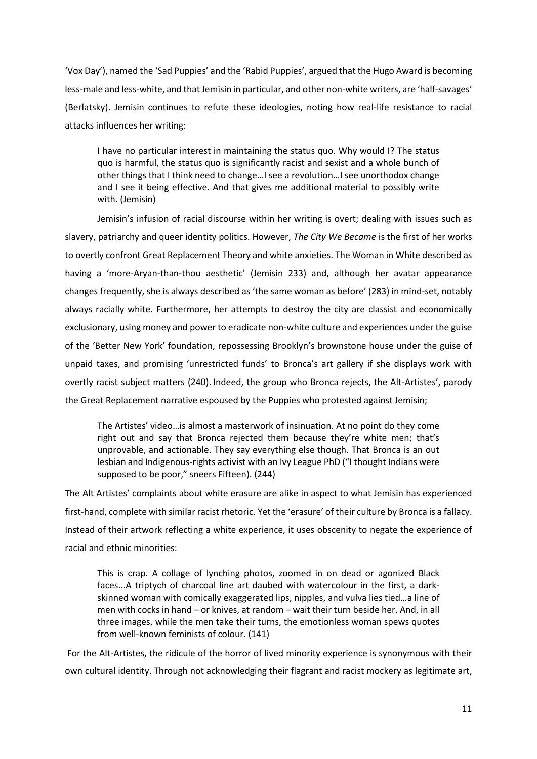'Vox Day'), named the 'Sad Puppies' and the 'Rabid Puppies', argued that the Hugo Award is becoming less-male and less-white, and that Jemisin in particular, and other non-white writers, are 'half-savages' (Berlatsky). Jemisin continues to refute these ideologies, noting how real-life resistance to racial attacks influences her writing:

I have no particular interest in maintaining the status quo. Why would I? The status quo is harmful, the status quo is significantly racist and sexist and a whole bunch of other things that I think need to change…I see a revolution…I see unorthodox change and I see it being effective. And that gives me additional material to possibly write with. (Jemisin)

Jemisin's infusion of racial discourse within her writing is overt; dealing with issues such as slavery, patriarchy and queer identity politics. However, *The City We Became* is the first of her works to overtly confront Great Replacement Theory and white anxieties. The Woman in White described as having a 'more-Aryan-than-thou aesthetic' (Jemisin 233) and, although her avatar appearance changes frequently, she is always described as 'the same woman as before' (283) in mind-set, notably always racially white. Furthermore, her attempts to destroy the city are classist and economically exclusionary, using money and power to eradicate non-white culture and experiences under the guise of the 'Better New York' foundation, repossessing Brooklyn's brownstone house under the guise of unpaid taxes, and promising 'unrestricted funds' to Bronca's art gallery if she displays work with overtly racist subject matters (240). Indeed, the group who Bronca rejects, the Alt-Artistes', parody the Great Replacement narrative espoused by the Puppies who protested against Jemisin;

The Artistes' video…is almost a masterwork of insinuation. At no point do they come right out and say that Bronca rejected them because they're white men; that's unprovable, and actionable. They say everything else though. That Bronca is an out lesbian and Indigenous-rights activist with an Ivy League PhD ("I thought Indians were supposed to be poor," sneers Fifteen). (244)

The Alt Artistes' complaints about white erasure are alike in aspect to what Jemisin has experienced first-hand, complete with similar racist rhetoric. Yet the 'erasure' of their culture by Bronca is a fallacy. Instead of their artwork reflecting a white experience, it uses obscenity to negate the experience of racial and ethnic minorities:

This is crap. A collage of lynching photos, zoomed in on dead or agonized Black faces...A triptych of charcoal line art daubed with watercolour in the first, a darkskinned woman with comically exaggerated lips, nipples, and vulva lies tied…a line of men with cocks in hand – or knives, at random – wait their turn beside her. And, in all three images, while the men take their turns, the emotionless woman spews quotes from well-known feminists of colour. (141)

For the Alt-Artistes, the ridicule of the horror of lived minority experience is synonymous with their own cultural identity. Through not acknowledging their flagrant and racist mockery as legitimate art,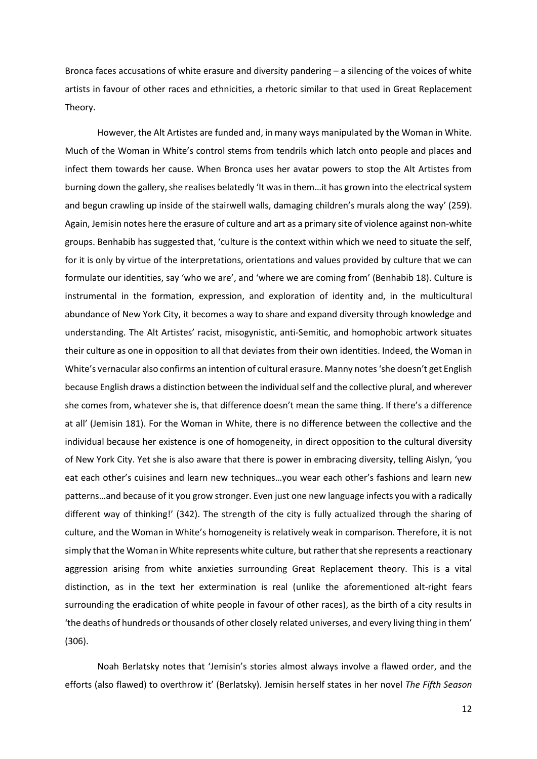Bronca faces accusations of white erasure and diversity pandering – a silencing of the voices of white artists in favour of other races and ethnicities, a rhetoric similar to that used in Great Replacement Theory.

However, the Alt Artistes are funded and, in many ways manipulated by the Woman in White. Much of the Woman in White's control stems from tendrils which latch onto people and places and infect them towards her cause. When Bronca uses her avatar powers to stop the Alt Artistes from burning down the gallery, she realises belatedly 'It was in them…it has grown into the electrical system and begun crawling up inside of the stairwell walls, damaging children's murals along the way' (259). Again, Jemisin notes here the erasure of culture and art as a primary site of violence against non-white groups. Benhabib has suggested that, 'culture is the context within which we need to situate the self, for it is only by virtue of the interpretations, orientations and values provided by culture that we can formulate our identities, say 'who we are', and 'where we are coming from' (Benhabib 18). Culture is instrumental in the formation, expression, and exploration of identity and, in the multicultural abundance of New York City, it becomes a way to share and expand diversity through knowledge and understanding. The Alt Artistes' racist, misogynistic, anti-Semitic, and homophobic artwork situates their culture as one in opposition to all that deviates from their own identities. Indeed, the Woman in White's vernacular also confirms an intention of cultural erasure. Manny notes 'she doesn't get English because English draws a distinction between the individual self and the collective plural, and wherever she comes from, whatever she is, that difference doesn't mean the same thing. If there's a difference at all' (Jemisin 181). For the Woman in White, there is no difference between the collective and the individual because her existence is one of homogeneity, in direct opposition to the cultural diversity of New York City. Yet she is also aware that there is power in embracing diversity, telling Aislyn, 'you eat each other's cuisines and learn new techniques…you wear each other's fashions and learn new patterns…and because of it you grow stronger. Even just one new language infects you with a radically different way of thinking!' (342). The strength of the city is fully actualized through the sharing of culture, and the Woman in White's homogeneity is relatively weak in comparison. Therefore, it is not simply that the Woman in White represents white culture, but rather that she represents a reactionary aggression arising from white anxieties surrounding Great Replacement theory. This is a vital distinction, as in the text her extermination is real (unlike the aforementioned alt-right fears surrounding the eradication of white people in favour of other races), as the birth of a city results in 'the deaths of hundreds or thousands of other closely related universes, and every living thing in them' (306).

Noah Berlatsky notes that 'Jemisin's stories almost always involve a flawed order, and the efforts (also flawed) to overthrow it' (Berlatsky). Jemisin herself states in her novel *The Fifth Season*

12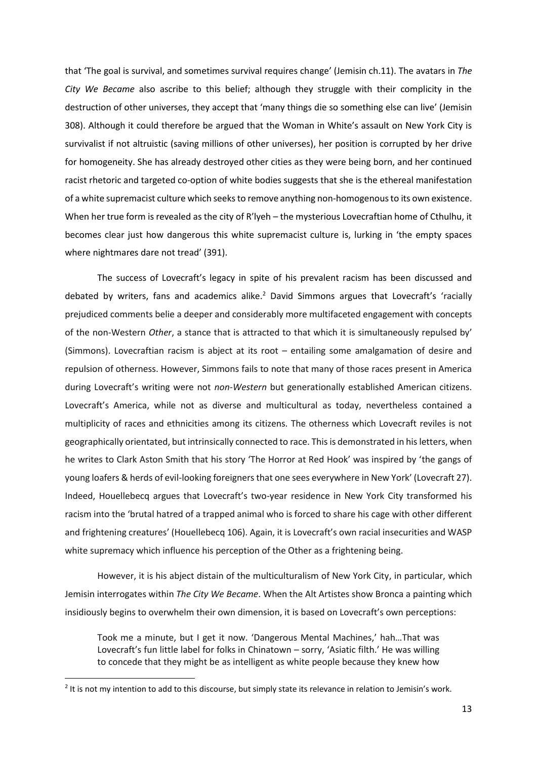that 'The goal is survival, and sometimes survival requires change' (Jemisin ch.11). The avatars in *The City We Became* also ascribe to this belief; although they struggle with their complicity in the destruction of other universes, they accept that 'many things die so something else can live' (Jemisin 308). Although it could therefore be argued that the Woman in White's assault on New York City is survivalist if not altruistic (saving millions of other universes), her position is corrupted by her drive for homogeneity. She has already destroyed other cities as they were being born, and her continued racist rhetoric and targeted co-option of white bodies suggests that she is the ethereal manifestation of a white supremacist culture which seeks to remove anything non-homogenous to its own existence. When her true form is revealed as the city of R'lyeh – the mysterious Lovecraftian home of Cthulhu, it becomes clear just how dangerous this white supremacist culture is, lurking in 'the empty spaces where nightmares dare not tread' (391).

The success of Lovecraft's legacy in spite of his prevalent racism has been discussed and debated by writers, fans and academics alike.<sup>2</sup> David Simmons argues that Lovecraft's 'racially prejudiced comments belie a deeper and considerably more multifaceted engagement with concepts of the non-Western *Other*, a stance that is attracted to that which it is simultaneously repulsed by' (Simmons). Lovecraftian racism is abject at its root – entailing some amalgamation of desire and repulsion of otherness. However, Simmons fails to note that many of those races present in America during Lovecraft's writing were not *non-Western* but generationally established American citizens. Lovecraft's America, while not as diverse and multicultural as today, nevertheless contained a multiplicity of races and ethnicities among its citizens. The otherness which Lovecraft reviles is not geographically orientated, but intrinsically connected to race. This is demonstrated in his letters, when he writes to Clark Aston Smith that his story 'The Horror at Red Hook' was inspired by 'the gangs of young loafers & herds of evil-looking foreigners that one sees everywhere in New York' (Lovecraft 27). Indeed, Houellebecq argues that Lovecraft's two-year residence in New York City transformed his racism into the 'brutal hatred of a trapped animal who is forced to share his cage with other different and frightening creatures' (Houellebecq 106). Again, it is Lovecraft's own racial insecurities and WASP white supremacy which influence his perception of the Other as a frightening being.

However, it is his abject distain of the multiculturalism of New York City, in particular, which Jemisin interrogates within *The City We Became*. When the Alt Artistes show Bronca a painting which insidiously begins to overwhelm their own dimension, it is based on Lovecraft's own perceptions:

Took me a minute, but I get it now. 'Dangerous Mental Machines,' hah…That was Lovecraft's fun little label for folks in Chinatown – sorry, 'Asiatic filth.' He was willing to concede that they might be as intelligent as white people because they knew how

 $2$  It is not my intention to add to this discourse, but simply state its relevance in relation to Jemisin's work.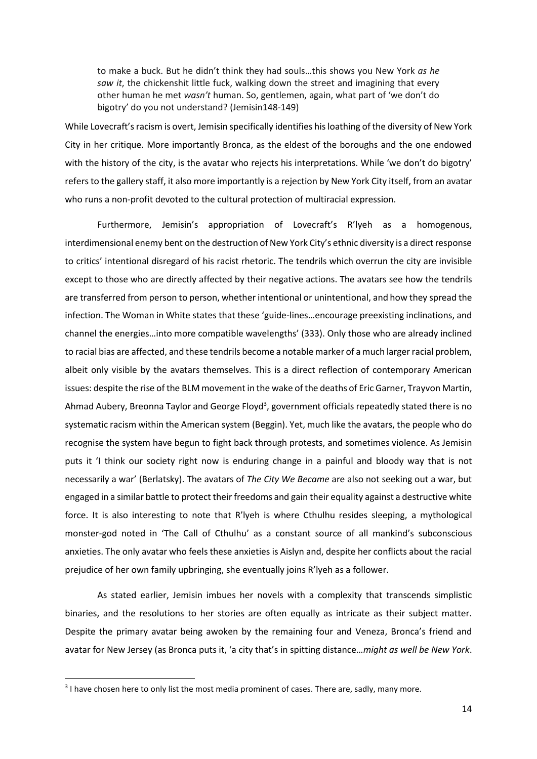to make a buck. But he didn't think they had souls…this shows you New York *as he saw it*, the chickenshit little fuck, walking down the street and imagining that every other human he met *wasn't* human. So, gentlemen, again, what part of 'we don't do bigotry' do you not understand? (Jemisin148-149)

While Lovecraft's racism is overt, Jemisin specifically identifies his loathing of the diversity of New York City in her critique. More importantly Bronca, as the eldest of the boroughs and the one endowed with the history of the city, is the avatar who rejects his interpretations. While 'we don't do bigotry' refers to the gallery staff, it also more importantly is a rejection by New York City itself, from an avatar who runs a non-profit devoted to the cultural protection of multiracial expression.

Furthermore, Jemisin's appropriation of Lovecraft's R'lyeh as a homogenous, interdimensional enemy bent on the destruction of New York City's ethnic diversity is a direct response to critics' intentional disregard of his racist rhetoric. The tendrils which overrun the city are invisible except to those who are directly affected by their negative actions. The avatars see how the tendrils are transferred from person to person, whether intentional or unintentional, and how they spread the infection. The Woman in White states that these 'guide-lines…encourage preexisting inclinations, and channel the energies…into more compatible wavelengths' (333). Only those who are already inclined to racial bias are affected, and these tendrils become a notable marker of a much larger racial problem, albeit only visible by the avatars themselves. This is a direct reflection of contemporary American issues: despite the rise of the BLM movement in the wake of the deaths of Eric Garner, Trayvon Martin, Ahmad Aubery, Breonna Taylor and George Floyd<sup>3</sup>, government officials repeatedly stated there is no systematic racism within the American system (Beggin). Yet, much like the avatars, the people who do recognise the system have begun to fight back through protests, and sometimes violence. As Jemisin puts it 'I think our society right now is enduring change in a painful and bloody way that is not necessarily a war' (Berlatsky). The avatars of *The City We Became* are also not seeking out a war, but engaged in a similar battle to protect their freedoms and gain their equality against a destructive white force. It is also interesting to note that R'lyeh is where Cthulhu resides sleeping, a mythological monster-god noted in 'The Call of Cthulhu' as a constant source of all mankind's subconscious anxieties. The only avatar who feels these anxieties is Aislyn and, despite her conflicts about the racial prejudice of her own family upbringing, she eventually joins R'lyeh as a follower.

As stated earlier, Jemisin imbues her novels with a complexity that transcends simplistic binaries, and the resolutions to her stories are often equally as intricate as their subject matter. Despite the primary avatar being awoken by the remaining four and Veneza, Bronca's friend and avatar for New Jersey (as Bronca puts it, 'a city that's in spitting distance…*might as well be New York*.

<sup>&</sup>lt;sup>3</sup> I have chosen here to only list the most media prominent of cases. There are, sadly, many more.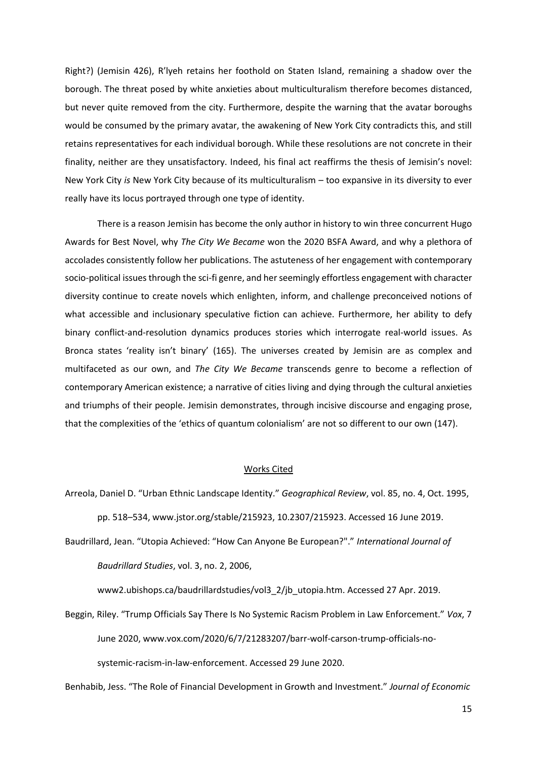Right?) (Jemisin 426), R'lyeh retains her foothold on Staten Island, remaining a shadow over the borough. The threat posed by white anxieties about multiculturalism therefore becomes distanced, but never quite removed from the city. Furthermore, despite the warning that the avatar boroughs would be consumed by the primary avatar, the awakening of New York City contradicts this, and still retains representatives for each individual borough. While these resolutions are not concrete in their finality, neither are they unsatisfactory. Indeed, his final act reaffirms the thesis of Jemisin's novel: New York City *is* New York City because of its multiculturalism – too expansive in its diversity to ever really have its locus portrayed through one type of identity.

There is a reason Jemisin has become the only author in history to win three concurrent Hugo Awards for Best Novel, why *The City We Became* won the 2020 BSFA Award, and why a plethora of accolades consistently follow her publications. The astuteness of her engagement with contemporary socio-political issues through the sci-fi genre, and her seemingly effortless engagement with character diversity continue to create novels which enlighten, inform, and challenge preconceived notions of what accessible and inclusionary speculative fiction can achieve. Furthermore, her ability to defy binary conflict-and-resolution dynamics produces stories which interrogate real-world issues. As Bronca states 'reality isn't binary' (165). The universes created by Jemisin are as complex and multifaceted as our own, and *The City We Became* transcends genre to become a reflection of contemporary American existence; a narrative of cities living and dying through the cultural anxieties and triumphs of their people. Jemisin demonstrates, through incisive discourse and engaging prose, that the complexities of the 'ethics of quantum colonialism' are not so different to our own (147).

## Works Cited

Arreola, Daniel D. "Urban Ethnic Landscape Identity." *Geographical Review*, vol. 85, no. 4, Oct. 1995,

pp. 518–534, www.jstor.org/stable/215923, 10.2307/215923. Accessed 16 June 2019.

Baudrillard, Jean. "Utopia Achieved: "How Can Anyone Be European?"." *International Journal of Baudrillard Studies*, vol. 3, no. 2, 2006,

www2.ubishops.ca/baudrillardstudies/vol3\_2/jb\_utopia.htm. Accessed 27 Apr. 2019.

Beggin, Riley. "Trump Officials Say There Is No Systemic Racism Problem in Law Enforcement." *Vox*, 7 June 2020, www.vox.com/2020/6/7/21283207/barr-wolf-carson-trump-officials-nosystemic-racism-in-law-enforcement. Accessed 29 June 2020.

Benhabib, Jess. "The Role of Financial Development in Growth and Investment." *Journal of Economic* 

15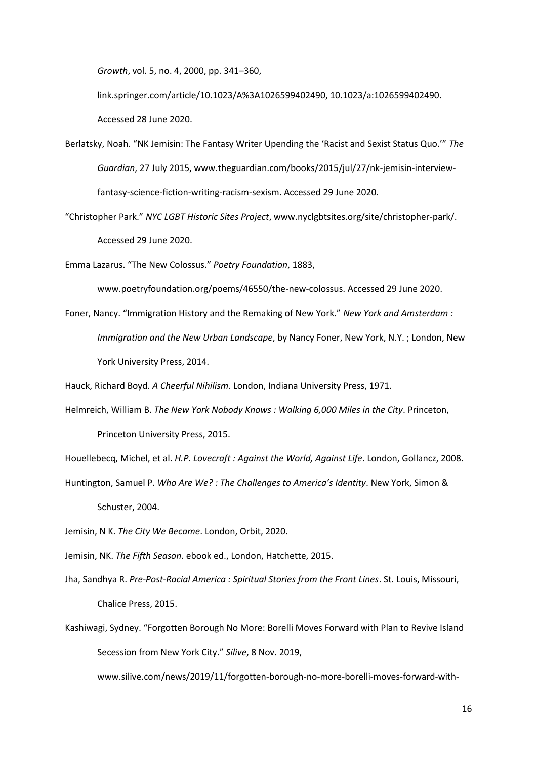*Growth*, vol. 5, no. 4, 2000, pp. 341–360,

link.springer.com/article/10.1023/A%3A1026599402490, 10.1023/a:1026599402490. Accessed 28 June 2020.

- Berlatsky, Noah. "NK Jemisin: The Fantasy Writer Upending the 'Racist and Sexist Status Quo.'" *The Guardian*, 27 July 2015, www.theguardian.com/books/2015/jul/27/nk-jemisin-interviewfantasy-science-fiction-writing-racism-sexism. Accessed 29 June 2020.
- "Christopher Park." *NYC LGBT Historic Sites Project*, www.nyclgbtsites.org/site/christopher-park/. Accessed 29 June 2020.

Emma Lazarus. "The New Colossus." *Poetry Foundation*, 1883,

www.poetryfoundation.org/poems/46550/the-new-colossus. Accessed 29 June 2020.

Foner, Nancy. "Immigration History and the Remaking of New York." *New York and Amsterdam : Immigration and the New Urban Landscape*, by Nancy Foner, New York, N.Y. ; London, New York University Press, 2014.

Hauck, Richard Boyd. *A Cheerful Nihilism*. London, Indiana University Press, 1971.

Helmreich, William B. *The New York Nobody Knows : Walking 6,000 Miles in the City*. Princeton, Princeton University Press, 2015.

Houellebecq, Michel, et al. *H.P. Lovecraft : Against the World, Against Life*. London, Gollancz, 2008.

Huntington, Samuel P. *Who Are We? : The Challenges to America's Identity*. New York, Simon & Schuster, 2004.

Jemisin, N K. *The City We Became*. London, Orbit, 2020.

Jemisin, NK. *The Fifth Season*. ebook ed., London, Hatchette, 2015.

- Jha, Sandhya R. *Pre-Post-Racial America : Spiritual Stories from the Front Lines*. St. Louis, Missouri, Chalice Press, 2015.
- Kashiwagi, Sydney. "Forgotten Borough No More: Borelli Moves Forward with Plan to Revive Island Secession from New York City." *Silive*, 8 Nov. 2019,

www.silive.com/news/2019/11/forgotten-borough-no-more-borelli-moves-forward-with-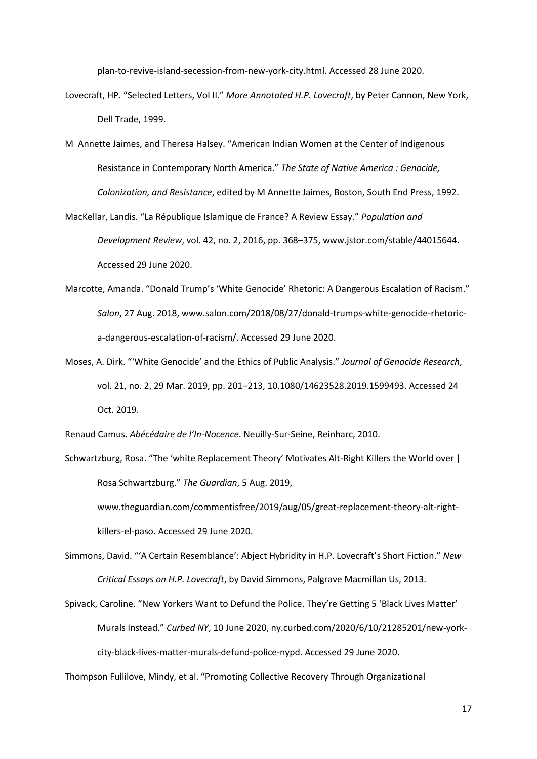plan-to-revive-island-secession-from-new-york-city.html. Accessed 28 June 2020.

- Lovecraft, HP. "Selected Letters, Vol II." *More Annotated H.P. Lovecraft*, by Peter Cannon, New York, Dell Trade, 1999.
- M Annette Jaimes, and Theresa Halsey. "American Indian Women at the Center of Indigenous Resistance in Contemporary North America." *The State of Native America : Genocide, Colonization, and Resistance*, edited by M Annette Jaimes, Boston, South End Press, 1992.
- MacKellar, Landis. "La République Islamique de France? A Review Essay." *Population and Development Review*, vol. 42, no. 2, 2016, pp. 368–375, www.jstor.com/stable/44015644. Accessed 29 June 2020.
- Marcotte, Amanda. "Donald Trump's 'White Genocide' Rhetoric: A Dangerous Escalation of Racism." *Salon*, 27 Aug. 2018, www.salon.com/2018/08/27/donald-trumps-white-genocide-rhetorica-dangerous-escalation-of-racism/. Accessed 29 June 2020.
- Moses, A. Dirk. "'White Genocide' and the Ethics of Public Analysis." *Journal of Genocide Research*, vol. 21, no. 2, 29 Mar. 2019, pp. 201–213, 10.1080/14623528.2019.1599493. Accessed 24 Oct. 2019.

Renaud Camus. *Abécédaire de l'In-Nocence*. Neuilly-Sur-Seine, Reinharc, 2010.

Schwartzburg, Rosa. "The 'white Replacement Theory' Motivates Alt-Right Killers the World over | Rosa Schwartzburg." *The Guardian*, 5 Aug. 2019, www.theguardian.com/commentisfree/2019/aug/05/great-replacement-theory-alt-rightkillers-el-paso. Accessed 29 June 2020.

Simmons, David. "'A Certain Resemblance': Abject Hybridity in H.P. Lovecraft's Short Fiction." *New Critical Essays on H.P. Lovecraft*, by David Simmons, Palgrave Macmillan Us, 2013.

Spivack, Caroline. "New Yorkers Want to Defund the Police. They're Getting 5 'Black Lives Matter' Murals Instead." *Curbed NY*, 10 June 2020, ny.curbed.com/2020/6/10/21285201/new-yorkcity-black-lives-matter-murals-defund-police-nypd. Accessed 29 June 2020.

Thompson Fullilove, Mindy, et al. "Promoting Collective Recovery Through Organizational